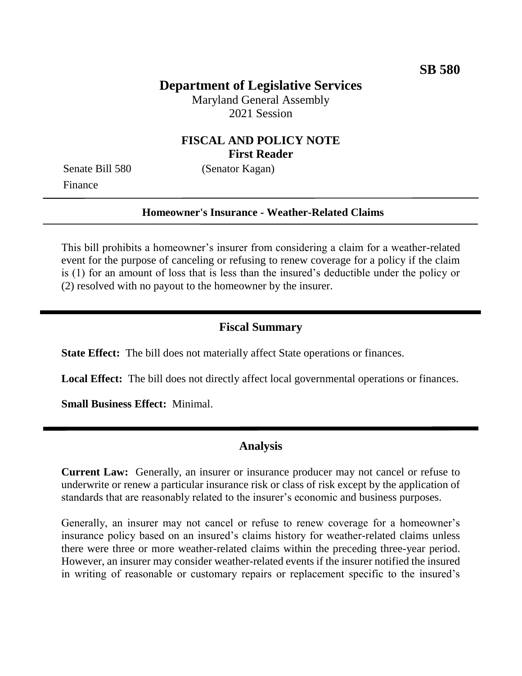# **Department of Legislative Services**

Maryland General Assembly 2021 Session

### **FISCAL AND POLICY NOTE First Reader**

Finance

Senate Bill 580 (Senator Kagan)

### **Homeowner's Insurance - Weather-Related Claims**

This bill prohibits a homeowner's insurer from considering a claim for a weather-related event for the purpose of canceling or refusing to renew coverage for a policy if the claim is (1) for an amount of loss that is less than the insured's deductible under the policy or (2) resolved with no payout to the homeowner by the insurer.

### **Fiscal Summary**

**State Effect:** The bill does not materially affect State operations or finances.

**Local Effect:** The bill does not directly affect local governmental operations or finances.

**Small Business Effect:** Minimal.

#### **Analysis**

**Current Law:** Generally, an insurer or insurance producer may not cancel or refuse to underwrite or renew a particular insurance risk or class of risk except by the application of standards that are reasonably related to the insurer's economic and business purposes.

Generally, an insurer may not cancel or refuse to renew coverage for a homeowner's insurance policy based on an insured's claims history for weather-related claims unless there were three or more weather-related claims within the preceding three-year period. However, an insurer may consider weather-related events if the insurer notified the insured in writing of reasonable or customary repairs or replacement specific to the insured's